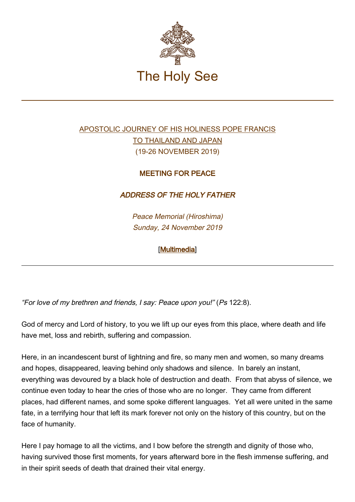

## [APOSTOLIC JOURNEY OF HIS HOLINESS POPE FRANCIS](http://w2.vatican.va/content/francesco/en/travels/2019/outside/documents/papa-francesco-thailandia-giappone-2019.html) [TO THAILAND AND JAPAN](http://w2.vatican.va/content/francesco/en/travels/2019/outside/documents/papa-francesco-thailandia-giappone-2019.html) (19-26 NOVEMBER 2019)

## MEETING FOR PEACE

## ADDRESS OF THE HOLY FATHER

Peace Memorial (Hiroshima) Sunday, 24 November 2019

## [\[Multimedia](http://w2.vatican.va/content/francesco/en/events/event.dir.html/content/vaticanevents/en/2019/11/24/messaggio-incontropace-hiroshima.html)]

"For love of my brethren and friends, I say: Peace upon you!" (Ps 122:8).

God of mercy and Lord of history, to you we lift up our eyes from this place, where death and life have met, loss and rebirth, suffering and compassion.

Here, in an incandescent burst of lightning and fire, so many men and women, so many dreams and hopes, disappeared, leaving behind only shadows and silence. In barely an instant, everything was devoured by a black hole of destruction and death. From that abyss of silence, we continue even today to hear the cries of those who are no longer. They came from different places, had different names, and some spoke different languages. Yet all were united in the same fate, in a terrifying hour that left its mark forever not only on the history of this country, but on the face of humanity.

Here I pay homage to all the victims, and I bow before the strength and dignity of those who, having survived those first moments, for years afterward bore in the flesh immense suffering, and in their spirit seeds of death that drained their vital energy.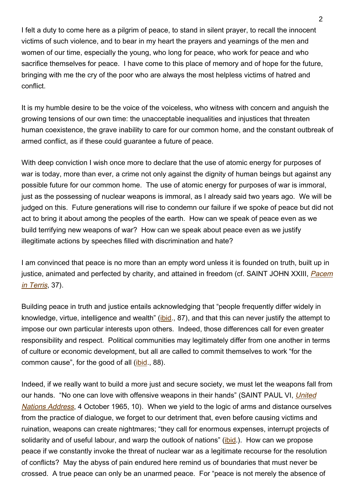I felt a duty to come here as a pilgrim of peace, to stand in silent prayer, to recall the innocent victims of such violence, and to bear in my heart the prayers and yearnings of the men and women of our time, especially the young, who long for peace, who work for peace and who sacrifice themselves for peace. I have come to this place of memory and of hope for the future, bringing with me the cry of the poor who are always the most helpless victims of hatred and conflict.

It is my humble desire to be the voice of the voiceless, who witness with concern and anguish the growing tensions of our own time: the unacceptable inequalities and injustices that threaten human coexistence, the grave inability to care for our common home, and the constant outbreak of armed conflict, as if these could guarantee a future of peace.

With deep conviction I wish once more to declare that the use of atomic energy for purposes of war is today, more than ever, a crime not only against the dignity of human beings but against any possible future for our common home. The use of atomic energy for purposes of war is immoral, just as the possessing of nuclear weapons is immoral, as I already said two years ago. We will be judged on this. Future generations will rise to condemn our failure if we spoke of peace but did not act to bring it about among the peoples of the earth. How can we speak of peace even as we build terrifying new weapons of war? How can we speak about peace even as we justify illegitimate actions by speeches filled with discrimination and hate?

I am convinced that peace is no more than an empty word unless it is founded on truth, built up in justice, animated and perfected by charity, and attained in freedom (cf. SAINT JOHN XXIII, [Pacem](http://www.vatican.va/content/john-xxiii/en/encyclicals/documents/hf_j-xxiii_enc_11041963_pacem.html#37) [in Terris](http://www.vatican.va/content/john-xxiii/en/encyclicals/documents/hf_j-xxiii_enc_11041963_pacem.html#37), 37).

Building peace in truth and justice entails acknowledging that "people frequently differ widely in knowledge, virtue, intelligence and wealth" ([ibid](http://www.vatican.va/content/john-xxiii/en/encyclicals/documents/hf_j-xxiii_enc_11041963_pacem.html#87)., 87), and that this can never justify the attempt to impose our own particular interests upon others. Indeed, those differences call for even greater responsibility and respect. Political communities may legitimately differ from one another in terms of culture or economic development, but all are called to commit themselves to work "for the common cause", for the good of all ([ibid](http://www.vatican.va/content/john-xxiii/en/encyclicals/documents/hf_j-xxiii_enc_11041963_pacem.html#88)., 88).

Indeed, if we really want to build a more just and secure society, we must let the weapons fall from our hands. "No one can love with offensive weapons in their hands" (SAINT PAUL VI, [United](http://w2.vatican.va/content/paul-vi/en/speeches/1965/documents/hf_p-vi_spe_19651004_united-nations.html) [Nations Address](http://w2.vatican.va/content/paul-vi/en/speeches/1965/documents/hf_p-vi_spe_19651004_united-nations.html), 4 October 1965, 10). When we yield to the logic of arms and distance ourselves from the practice of dialogue, we forget to our detriment that, even before causing victims and ruination, weapons can create nightmares; "they call for enormous expenses, interrupt projects of solidarity and of useful labour, and warp the outlook of nations" ([ibid](http://w2.vatican.va/content/paul-vi/en/speeches/1965/documents/hf_p-vi_spe_19651004_united-nations.html).). How can we propose peace if we constantly invoke the threat of nuclear war as a legitimate recourse for the resolution of conflicts? May the abyss of pain endured here remind us of boundaries that must never be crossed. A true peace can only be an unarmed peace. For "peace is not merely the absence of